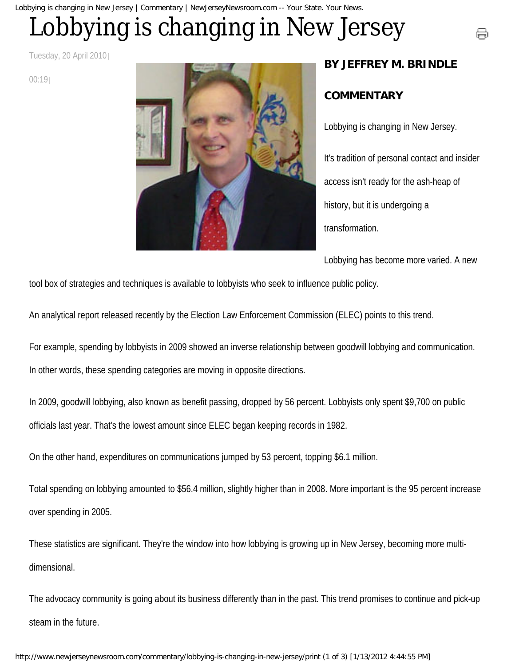#### Lobbying is changing in New Jersey | Commentary | NewJerseyNewsroom.com -- Your State. Your News.

# Lobbying is changing in New Jersey

Tuesday, 20 April 2010

00:19



### **BY JEFFREY M. BRINDLE**

号

#### **COMMENTARY**

Lobbying is changing in New Jersey. It's tradition of personal contact and insider access isn't ready for the ash-heap of history, but it is undergoing a transformation.

Lobbying has become more varied. A new

tool box of strategies and techniques is available to lobbyists who seek to influence public policy.

An analytical report released recently by the Election Law Enforcement Commission (ELEC) points to this trend.

For example, spending by lobbyists in 2009 showed an inverse relationship between goodwill lobbying and communication. In other words, these spending categories are moving in opposite directions.

In 2009, goodwill lobbying, also known as benefit passing, dropped by 56 percent. Lobbyists only spent \$9,700 on public officials last year. That's the lowest amount since ELEC began keeping records in 1982.

On the other hand, expenditures on communications jumped by 53 percent, topping \$6.1 million.

Total spending on lobbying amounted to \$56.4 million, slightly higher than in 2008. More important is the 95 percent increase over spending in 2005.

These statistics are significant. They're the window into how lobbying is growing up in New Jersey, becoming more multidimensional.

The advocacy community is going about its business differently than in the past. This trend promises to continue and pick-up steam in the future.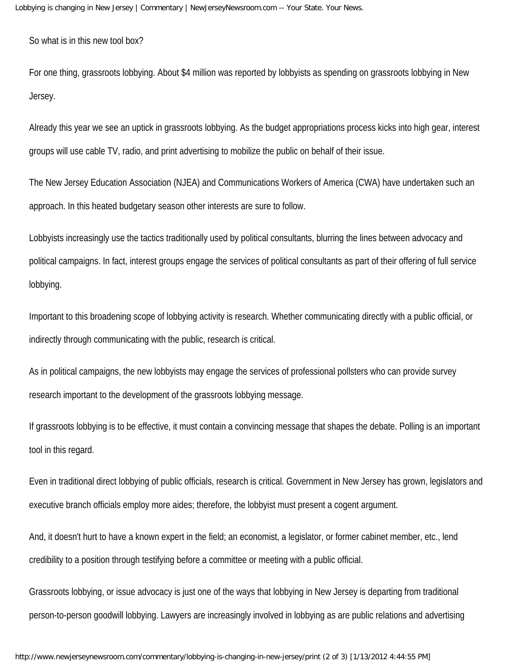So what is in this new tool box?

For one thing, grassroots lobbying. About \$4 million was reported by lobbyists as spending on grassroots lobbying in New Jersey.

Already this year we see an uptick in grassroots lobbying. As the budget appropriations process kicks into high gear, interest groups will use cable TV, radio, and print advertising to mobilize the public on behalf of their issue.

The New Jersey Education Association (NJEA) and Communications Workers of America (CWA) have undertaken such an approach. In this heated budgetary season other interests are sure to follow.

Lobbyists increasingly use the tactics traditionally used by political consultants, blurring the lines between advocacy and political campaigns. In fact, interest groups engage the services of political consultants as part of their offering of full service lobbying.

Important to this broadening scope of lobbying activity is research. Whether communicating directly with a public official, or indirectly through communicating with the public, research is critical.

As in political campaigns, the new lobbyists may engage the services of professional pollsters who can provide survey research important to the development of the grassroots lobbying message.

If grassroots lobbying is to be effective, it must contain a convincing message that shapes the debate. Polling is an important tool in this regard.

Even in traditional direct lobbying of public officials, research is critical. Government in New Jersey has grown, legislators and executive branch officials employ more aides; therefore, the lobbyist must present a cogent argument.

And, it doesn't hurt to have a known expert in the field; an economist, a legislator, or former cabinet member, etc., lend credibility to a position through testifying before a committee or meeting with a public official.

Grassroots lobbying, or issue advocacy is just one of the ways that lobbying in New Jersey is departing from traditional person-to-person goodwill lobbying. Lawyers are increasingly involved in lobbying as are public relations and advertising